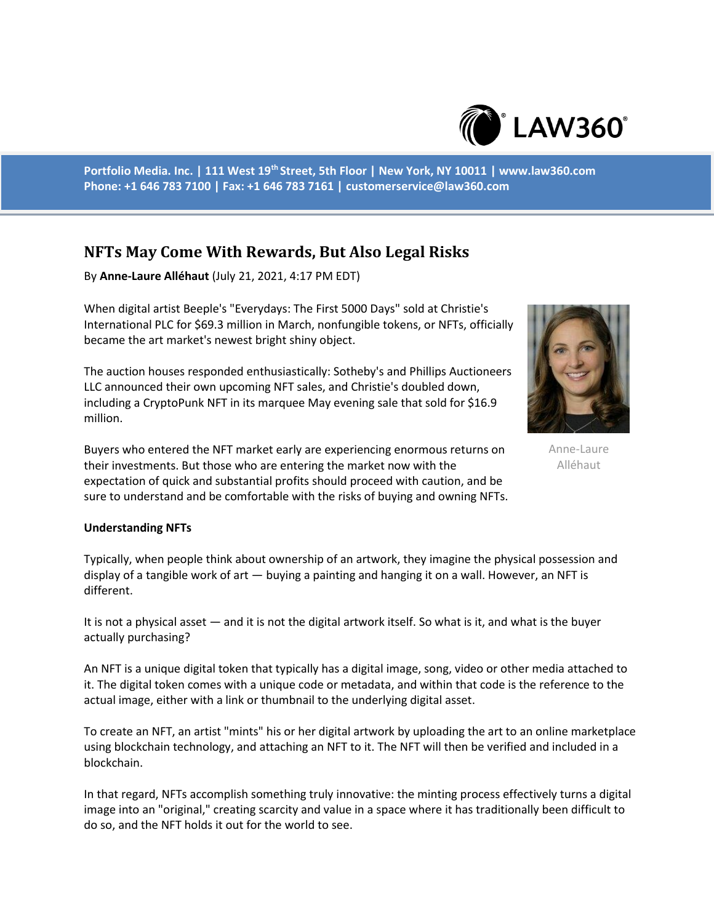

**Portfolio Media. Inc. | 111 West 19th Street, 5th Floor | New York, NY 10011 | www.law360.com Phone: +1 646 783 7100 | Fax: +1 646 783 7161 | customerservice@law360.com**

# **NFTs May Come With Rewards, But Also Legal Risks**

By **Anne-Laure Alléhaut** (July 21, 2021, 4:17 PM EDT)

When digital artist Beeple's "Everydays: The First 5000 Days" sold at Christie's International PLC for \$69.3 million in March, nonfungible tokens, or NFTs, officially became the art market's newest bright shiny object.

The auction houses responded enthusiastically: Sotheby's and Phillips Auctioneers LLC announced their own upcoming NFT sales, and Christie's doubled down, including a CryptoPunk NFT in its marquee May evening sale that sold for \$16.9 million.

Buyers who entered the NFT market early are experiencing enormous returns on their investments. But those who are entering the market now with the expectation of quick and substantial profits should proceed with caution, and be sure to understand and be comfortable with the risks of buying and owning NFTs.

Anne-Laure Alléhaut

#### **Understanding NFTs**

Typically, when people think about ownership of an artwork, they imagine the physical possession and display of a tangible work of art — buying a painting and hanging it on a wall. However, an NFT is different.

It is not a physical asset — and it is not the digital artwork itself. So what is it, and what is the buyer actually purchasing?

An NFT is a unique digital token that typically has a digital image, song, video or other media attached to it. The digital token comes with a unique code or metadata, and within that code is the reference to the actual image, either with a link or thumbnail to the underlying digital asset.

To create an NFT, an artist "mints" his or her digital artwork by uploading the art to an online marketplace using blockchain technology, and attaching an NFT to it. The NFT will then be verified and included in a blockchain.

In that regard, NFTs accomplish something truly innovative: the minting process effectively turns a digital image into an "original," creating scarcity and value in a space where it has traditionally been difficult to do so, and the NFT holds it out for the world to see.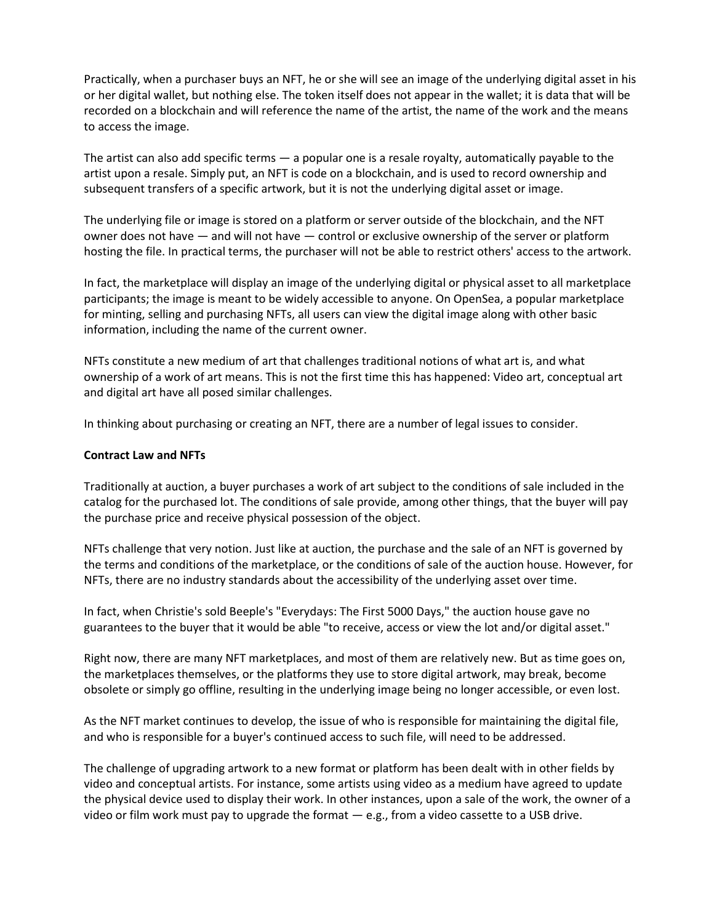Practically, when a purchaser buys an NFT, he or she will see an image of the underlying digital asset in his or her digital wallet, but nothing else. The token itself does not appear in the wallet; it is data that will be recorded on a blockchain and will reference the name of the artist, the name of the work and the means to access the image.

The artist can also add specific terms — a popular one is a resale royalty, automatically payable to the artist upon a resale. Simply put, an NFT is code on a blockchain, and is used to record ownership and subsequent transfers of a specific artwork, but it is not the underlying digital asset or image.

The underlying file or image is stored on a platform or server outside of the blockchain, and the NFT owner does not have — and will not have — control or exclusive ownership of the server or platform hosting the file. In practical terms, the purchaser will not be able to restrict others' access to the artwork.

In fact, the marketplace will display an image of the underlying digital or physical asset to all marketplace participants; the image is meant to be widely accessible to anyone. On OpenSea, a popular marketplace for minting, selling and purchasing NFTs, all users can view the digital image along with other basic information, including the name of the current owner.

NFTs constitute a new medium of art that challenges traditional notions of what art is, and what ownership of a work of art means. This is not the first time this has happened: Video art, conceptual art and digital art have all posed similar challenges.

In thinking about purchasing or creating an NFT, there are a number of legal issues to consider.

## **Contract Law and NFTs**

Traditionally at auction, a buyer purchases a work of art subject to the conditions of sale included in the catalog for the purchased lot. The conditions of sale provide, among other things, that the buyer will pay the purchase price and receive physical possession of the object.

NFTs challenge that very notion. Just like at auction, the purchase and the sale of an NFT is governed by the terms and conditions of the marketplace, or the conditions of sale of the auction house. However, for NFTs, there are no industry standards about the accessibility of the underlying asset over time.

In fact, when Christie's sold Beeple's "Everydays: The First 5000 Days," the auction house gave no guarantees to the buyer that it would be able "to receive, access or view the lot and/or digital asset."

Right now, there are many NFT marketplaces, and most of them are relatively new. But as time goes on, the marketplaces themselves, or the platforms they use to store digital artwork, may break, become obsolete or simply go offline, resulting in the underlying image being no longer accessible, or even lost.

As the NFT market continues to develop, the issue of who is responsible for maintaining the digital file, and who is responsible for a buyer's continued access to such file, will need to be addressed.

The challenge of upgrading artwork to a new format or platform has been dealt with in other fields by video and conceptual artists. For instance, some artists using video as a medium have agreed to update the physical device used to display their work. In other instances, upon a sale of the work, the owner of a video or film work must pay to upgrade the format — e.g., from a video cassette to a USB drive.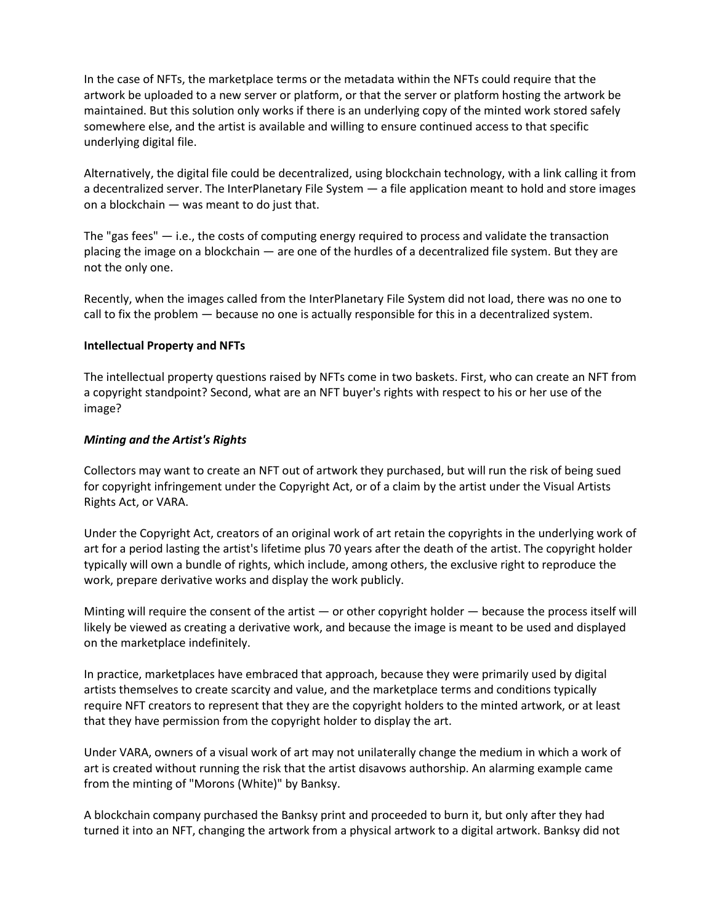In the case of NFTs, the marketplace terms or the metadata within the NFTs could require that the artwork be uploaded to a new server or platform, or that the server or platform hosting the artwork be maintained. But this solution only works if there is an underlying copy of the minted work stored safely somewhere else, and the artist is available and willing to ensure continued access to that specific underlying digital file.

Alternatively, the digital file could be decentralized, using blockchain technology, with a link calling it from a decentralized server. The InterPlanetary File System — a file application meant to hold and store images on a blockchain — was meant to do just that.

The "gas fees"  $-$  i.e., the costs of computing energy required to process and validate the transaction placing the image on a blockchain — are one of the hurdles of a decentralized file system. But they are not the only one.

Recently, when the images called from the InterPlanetary File System did not load, there was no one to call to fix the problem — because no one is actually responsible for this in a decentralized system.

# **Intellectual Property and NFTs**

The intellectual property questions raised by NFTs come in two baskets. First, who can create an NFT from a copyright standpoint? Second, what are an NFT buyer's rights with respect to his or her use of the image?

### *Minting and the Artist's Rights*

Collectors may want to create an NFT out of artwork they purchased, but will run the risk of being sued for copyright infringement under the Copyright Act, or of a claim by the artist under the Visual Artists Rights Act, or VARA.

Under the Copyright Act, creators of an original work of art retain the copyrights in the underlying work of art for a period lasting the artist's lifetime plus 70 years after the death of the artist. The copyright holder typically will own a bundle of rights, which include, among others, the exclusive right to reproduce the work, prepare derivative works and display the work publicly.

Minting will require the consent of the artist  $-$  or other copyright holder  $-$  because the process itself will likely be viewed as creating a derivative work, and because the image is meant to be used and displayed on the marketplace indefinitely.

In practice, marketplaces have embraced that approach, because they were primarily used by digital artists themselves to create scarcity and value, and the marketplace terms and conditions typically require NFT creators to represent that they are the copyright holders to the minted artwork, or at least that they have permission from the copyright holder to display the art.

Under VARA, owners of a visual work of art may not unilaterally change the medium in which a work of art is created without running the risk that the artist disavows authorship. An alarming example came from the minting of "Morons (White)" by Banksy.

A blockchain company purchased the Banksy print and proceeded to burn it, but only after they had turned it into an NFT, changing the artwork from a physical artwork to a digital artwork. Banksy did not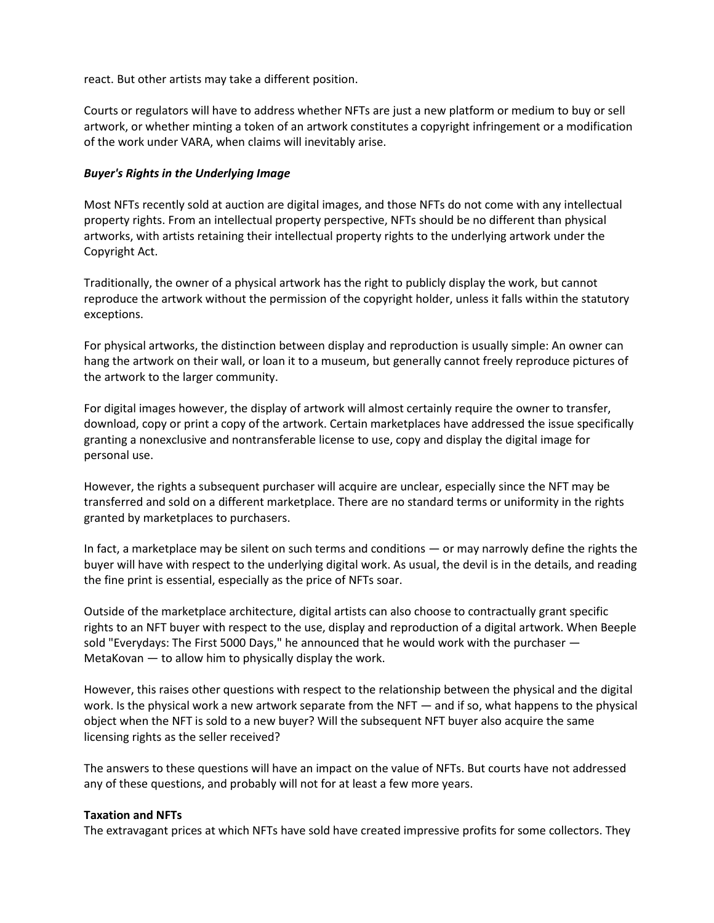react. But other artists may take a different position.

Courts or regulators will have to address whether NFTs are just a new platform or medium to buy or sell artwork, or whether minting a token of an artwork constitutes a copyright infringement or a modification of the work under VARA, when claims will inevitably arise.

# *Buyer's Rights in the Underlying Image*

Most NFTs recently sold at auction are digital images, and those NFTs do not come with any intellectual property rights. From an intellectual property perspective, NFTs should be no different than physical artworks, with artists retaining their intellectual property rights to the underlying artwork under the Copyright Act.

Traditionally, the owner of a physical artwork has the right to publicly display the work, but cannot reproduce the artwork without the permission of the copyright holder, unless it falls within the statutory exceptions.

For physical artworks, the distinction between display and reproduction is usually simple: An owner can hang the artwork on their wall, or loan it to a museum, but generally cannot freely reproduce pictures of the artwork to the larger community.

For digital images however, the display of artwork will almost certainly require the owner to transfer, download, copy or print a copy of the artwork. Certain marketplaces have addressed the issue specifically granting a nonexclusive and nontransferable license to use, copy and display the digital image for personal use.

However, the rights a subsequent purchaser will acquire are unclear, especially since the NFT may be transferred and sold on a different marketplace. There are no standard terms or uniformity in the rights granted by marketplaces to purchasers.

In fact, a marketplace may be silent on such terms and conditions — or may narrowly define the rights the buyer will have with respect to the underlying digital work. As usual, the devil is in the details, and reading the fine print is essential, especially as the price of NFTs soar.

Outside of the marketplace architecture, digital artists can also choose to contractually grant specific rights to an NFT buyer with respect to the use, display and reproduction of a digital artwork. When Beeple sold "Everydays: The First 5000 Days," he announced that he would work with the purchaser — MetaKovan — to allow him to physically display the work.

However, this raises other questions with respect to the relationship between the physical and the digital work. Is the physical work a new artwork separate from the NFT — and if so, what happens to the physical object when the NFT is sold to a new buyer? Will the subsequent NFT buyer also acquire the same licensing rights as the seller received?

The answers to these questions will have an impact on the value of NFTs. But courts have not addressed any of these questions, and probably will not for at least a few more years.

# **Taxation and NFTs**

The extravagant prices at which NFTs have sold have created impressive profits for some collectors. They